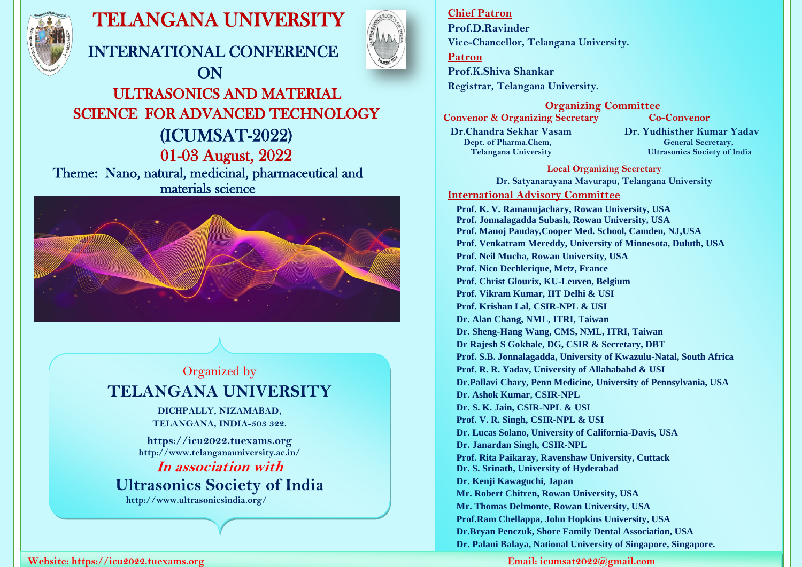

# TELANGANA UNIVERSITY

INTERNATIONAL CONFERENCE



## **ON**  ULTRASONICS AND MATERIAL SCIENCE FOR ADVANCED TECHNOLOGY (ICUMSAT-2022) 01-03 August, 2022 Theme: Nano, natural, medicinal, pharmaceutical and materials science



## Organized by **TELANGANA UNIVERSITY**

**DICHPALLY, NIZAMABAD, TELANGANA, INDIA-503 322.**

**[https://icu2022.tuexams.org](https://icu2022.tuexams.org/) http://www.telanganauniversity.ac.in/ In association with**

**Ultrasonics Society of India**

 **http://www.ultrasonicsindia.org/**

#### **Website: [https://icu2022.tuexams.org](https://icu2022.tuexams.org/) Email: icumsat2022@gmail.com**

## **Chief Patron**

**Prof.D.Ravinder Vice-Chancellor, Telangana University.**

**Patron**

**Prof.K.Shiva Shankar Registrar, Telangana University.**

 **Organizing Committee**

**Convenor & Organizing Secretary Co-Convenor Dr.Chandra Sekhar Vasam Dr. Yudhisther Kumar Yadav**<br>Dept. of Pharma.Chem. General Secretary. **Dept. of Pharma.Chem,** 

 **Telangana University Ultrasonics Society of India**

**Local Organizing Secretary**

**Dr. Satyanarayana Mavurapu, Telangana University International Advisory Committee**

**Prof. K. V. Ramanujachary, Rowan University, USA Prof. Jonnalagadda Subash, Rowan University, USA Prof. Manoj Panday,Cooper Med. School, Camden, NJ,USA Prof. Venkatram Mereddy, University of Minnesota, Duluth, USA Prof. Neil Mucha, Rowan University, USA Prof. Nico Dechlerique, Metz, France Prof. Christ Glourix, KU-Leuven, Belgium Prof. Vikram Kumar, IIT Delhi & USI Prof. Krishan Lal, CSIR-NPL & USI Dr. Alan Chang, NML, ITRI, Taiwan Dr. Sheng-Hang Wang, CMS, NML, ITRI, Taiwan Dr Rajesh S Gokhale, DG, CSIR & Secretary, DBT Prof. S.B. Jonnalagadda, University of Kwazulu-Natal, South Africa Prof. R. R. Yadav, University of Allahabahd & USI Dr.Pallavi Chary, Penn Medicine, University of Pennsylvania, USA Dr. Ashok Kumar, CSIR-NPL Dr. S. K. Jain, CSIR-NPL & USI Prof. V. R. Singh, CSIR-NPL & USI Dr. Lucas Solano, University of California-Davis, USA Dr. Janardan Singh, CSIR-NPL Prof. Rita Paikaray, Ravenshaw University, Cuttack Dr. S. Srinath, University of Hyderabad Dr. Kenji Kawaguchi, Japan Mr. Robert Chitren, Rowan University, USA Mr. Thomas Delmonte, Rowan University, USA Prof.Ram Chellappa, John Hopkins University, USA Dr.Bryan Penczuk, Shore Family Dental Association, USA Dr. Palani Balaya, National University of Singapore, Singapore.**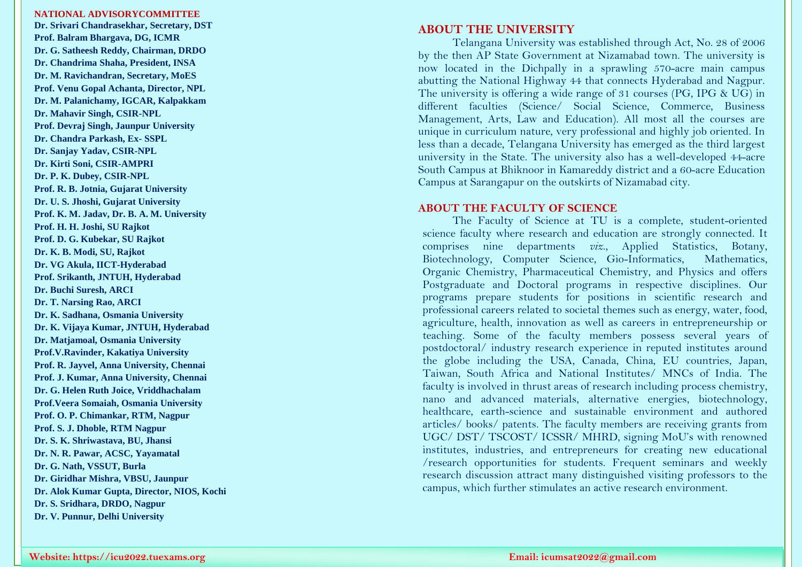#### **NATIONAL ADVISORYCOMMITTEE**

**Dr. Srivari Chandrasekhar, Secretary, DST Prof. Balram Bhargava, DG, ICMR Dr. G. Satheesh Reddy, Chairman, DRDO Dr. Chandrima S haha, President, INSA Dr. M. Ravichandran, Secretary, MoES Prof. Venu Gopal Achanta, Director, NPL Dr. M. Palanichamy, IGCAR, Kalpakkam Dr. Mahavir Singh, CSIR -NPL Prof. Devraj Singh, Jaunpur University Dr. Chandra Parkash, Ex - SSPL Dr. Sanjay Yadav, CSIR -NPL Dr. Kirti Soni, CSIR -AMPRI Dr. P. K. Dubey, CSIR -NPL Prof. R. B. Jotnia, Gujarat University Dr. U. S. Jhoshi, Gujarat University Prof. K. M. Jadav, Dr. B. A. M. University Prof. H. H. Joshi, SU Rajkot Prof. D. G. Kubekar, SU Rajkot Dr. K. B. Modi, SU, Rajkot Dr. VG Akula, IICT -Hyderabad Prof. Srikanth, JNTUH, Hyderabad Dr. Buchi Suresh, ARCI Dr. T. Narsing Rao, ARCI Dr. K. Sadhana, Osmania University Dr. K. Vijay a Kumar, JNTUH, Hyderabad Dr. Matjamoal, Osmania University Prof.V.Ravinder, Kakatiya University Prof. R. Jayvel, Anna University, Chennai Prof. J. Kumar, Anna University, Chennai Dr. G. Helen Ruth Joice, Vriddhachalam Prof.Veera Somaiah, Osmania University Prof. O. P. Chimankar, RTM, Nagpur Prof. S. J. Dhoble, RTM Nagpur Dr. S. K. Shriwastava, BU, Jhansi Dr. N. R. Pawar, ACSC, Yayamatal Dr. G. Nath, VSSUT, Burla Dr. Giridhar Mishra, VBSU, Jaunpur Dr. Alok Kumar Gupta, Director, NIOS, Kochi Dr. S. Sridhara, DRDO, Nagpur Dr. V. Punnur, Delhi University**

#### **ABOUT THE UNIVERSITY**

Telangana University was established through Act, No. 28 of 2006 by the then AP State Government at Nizamabad town. The university is now located in the Dichpally in a sprawling 570 -acre main campus abutting the National Highway 44 that connects Hyderabad and Nagpur. The university is offering a wide range of 31 courses (PG, IPG & UG) in different faculties (Science/ Social Science, Commerce, Business Management, Arts, Law and Education). All most all the courses are unique in curriculum nature, very professional and highly job oriented. In less than a decade, Telangana University has emerged as the third largest university in the State. The university also has a well -developed 44 -acre South Campus at Bhiknoor in Kamareddy district and a 6 0 -acre Education Campus at Sarangapur on the outskirts of Nizamabad city.

#### **ABOUT THE FACULTY OF SCIENCE**

The Faculty of Science at TU is a complete, student -oriented science faculty where research and education are strongly connected. It comprises nine departments *viz*., Applied Statistics, Botany, Biotechnology, Computer Science, Gio-Informatics, Mathematics, Organic Chemistry, Pharmaceutical Chemistry, and Physics and offers Postgraduate and Doctoral programs in respective disciplines. Our programs prepare students for positions in scientific research and professional careers related to societal themes such as energy, water, food, agriculture, health, innovation as well as careers in entrepreneurship or teaching. Some of the faculty members possess several years of postdoctoral/ industry research experience in reputed institutes around the globe including the USA, Canada, China, EU countries, Japan, Taiwan, South Africa and National Institutes/ MNCs of India. The faculty is involved in thrust areas of research including process chemistry, nano and advanced materials, alternative energies, biotechnology, healthcare, earth -science and sustainable environment and authored articles/ books/ patents. The faculty members are receiving grants from UGC/ DST/ TSCOST/ ICSSR/ MHRD, signing MoU's with renowned institutes, industries, and entrepreneurs for creating new educational /research opportunities for students. Frequent seminars and weekly research discussion attract many distinguished visiting professors to the campus, which further stimulates an active research environment.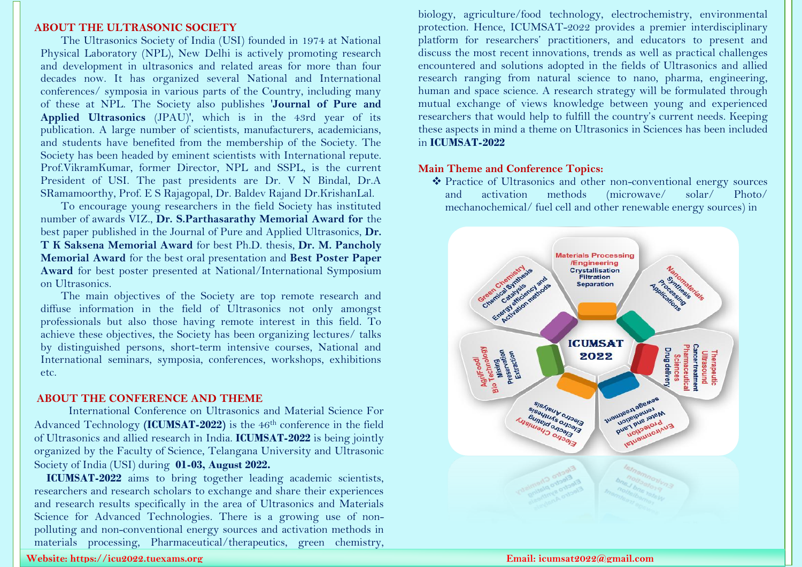#### **ABOUT THE ULTRASONIC SOCIETY**

The Ultrasonics Society of India (USI) founded in 1974 at National Physical Laboratory (NPL), New Delhi is actively promoting research and development in ultrasonics and related areas for more than four decades now. It has organized several National and International conferences/ symposia in various parts of the Country, including many of these at NPL. The Society also publishes '**Journal of Pure and Applied Ultrasonics** (JPAU)', which is in the 43rd year of its publication. A large number of scientists, manufacturers, academicians, and students have benefited from the membership of the Society. The Society has been headed by eminent scientists with International repute. Prof.VikramKumar, former Director, NPL and SSPL, is the current President of USI. The past presidents are Dr. V N Bindal, Dr.A SRamamoorthy, Prof. E S Rajagopal, Dr. Baldev Rajand Dr.KrishanLal.

To encourage young researchers in the field Society has instituted number of awards VIZ., **Dr. S.Parthasarathy Memorial Award for** the best paper published in the Journal of Pure and Applied Ultrasonics, **Dr. T K Saksena Memorial Award** for best Ph.D. thesis, **Dr. M. Pancholy Memorial Award** for the best oral presentation and **Best Poster Paper Award** for best poster presented at National/International Symposium on Ultrasonics.

The main objectives of the Society are top remote research and diffuse information in the field of Ultrasonics not only amongst professionals but also those having remote interest in this field. To achieve these objectives, the Society has been organizing lectures/ talks by distinguished persons, short-term intensive courses, National and International seminars, symposia, conferences, workshops, exhibitions etc.

### **ABOUT THE CONFERENCE AND THEME**

International Conference on Ultrasonics and Material Science For Advanced Technology **(ICUMSAT-2022)** is the 46th conference in the field of Ultrasonics and allied research in India. **ICUMSAT-2022** is being jointly organized by the Faculty of Science, Telangana University and Ultrasonic Society of India (USI) during **01-03, August 2022.**

**ICUMSAT-2022** aims to bring together leading academic scientists, researchers and research scholars to exchange and share their experiences and research results specifically in the area of Ultrasonics and Materials Science for Advanced Technologies. There is a growing use of nonpolluting and non-conventional energy sources and activation methods in materials processing, Pharmaceutical/therapeutics, green chemistry,

biology, agriculture/food technology, electrochemistry, environmental protection. Hence, ICUMSAT-2022 provides a premier interdisciplinary platform for researchers' practitioners, and educators to present and discuss the most recent innovations, trends as well as practical challenges encountered and solutions adopted in the fields of Ultrasonics and allied research ranging from natural science to nano, pharma, engineering, human and space science. A research strategy will be formulated through mutual exchange of views knowledge between young and experienced researchers that would help to fulfill the country's current needs. Keeping these aspects in mind a theme on Ultrasonics in Sciences has been included in **ICUMSAT-2022**

## **Main Theme and Conference Topics:**

 Practice of Ultrasonics and other non-conventional energy sources and activation methods (microwave/ solar/ Photo/ mechanochemical/ fuel cell and other renewable energy sources) in



#### **Website: [https://icu2022.tuexams.org](https://icu2022.tuexams.org/) Email: icumsat2022@gmail.com**